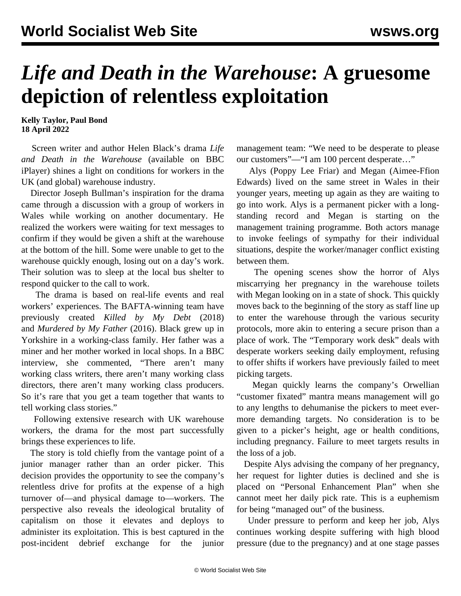## *Life and Death in the Warehouse***: A gruesome depiction of relentless exploitation**

**Kelly Taylor, Paul Bond 18 April 2022**

 Screen writer and author Helen Black's drama *Life and Death in the Warehouse* (available on BBC iPlayer) shines a light on conditions for workers in the UK (and global) warehouse industry.

 Director Joseph Bullman's inspiration for the drama came through a discussion with a group of workers in Wales while working on another documentary. He realized the workers were waiting for text messages to confirm if they would be given a shift at the warehouse at the bottom of the hill. Some were unable to get to the warehouse quickly enough, losing out on a day's work. Their solution was to sleep at the local bus shelter to respond quicker to the call to work.

 The drama is based on real-life events and real workers' experiences. The BAFTA-winning team have previously created *Killed by My Debt* (2018) and *Murdered by My Father* (2016). Black grew up in Yorkshire in a working-class family. Her father was a miner and her mother worked in local shops. In a BBC interview, she commented, "There aren't many working class writers, there aren't many working class directors, there aren't many working class producers. So it's rare that you get a team together that wants to tell working class stories."

 Following extensive research with UK warehouse workers, the drama for the most part successfully brings these experiences to life.

 The story is told chiefly from the vantage point of a junior manager rather than an order picker. This decision provides the opportunity to see the company's relentless drive for profits at the expense of a high turnover of—and physical damage to—workers. The perspective also reveals the ideological brutality of capitalism on those it elevates and deploys to administer its exploitation. This is best captured in the post-incident debrief exchange for the junior

management team: "We need to be desperate to please our customers"—"I am 100 percent desperate…"

 Alys (Poppy Lee Friar) and Megan (Aimee-Ffion Edwards) lived on the same street in Wales in their younger years, meeting up again as they are waiting to go into work. Alys is a permanent picker with a longstanding record and Megan is starting on the management training programme. Both actors manage to invoke feelings of sympathy for their individual situations, despite the worker/manager conflict existing between them.

 The opening scenes show the horror of Alys miscarrying her pregnancy in the warehouse toilets with Megan looking on in a state of shock. This quickly moves back to the beginning of the story as staff line up to enter the warehouse through the various security protocols, more akin to entering a secure prison than a place of work. The "Temporary work desk" deals with desperate workers seeking daily employment, refusing to offer shifts if workers have previously failed to meet picking targets.

 Megan quickly learns the company's Orwellian "customer fixated" mantra means management will go to any lengths to dehumanise the pickers to meet evermore demanding targets. No consideration is to be given to a picker's height, age or health conditions, including pregnancy. Failure to meet targets results in the loss of a job.

 Despite Alys advising the company of her pregnancy, her request for lighter duties is declined and she is placed on "Personal Enhancement Plan" when she cannot meet her daily pick rate. This is a euphemism for being "managed out" of the business.

 Under pressure to perform and keep her job, Alys continues working despite suffering with high blood pressure (due to the pregnancy) and at one stage passes